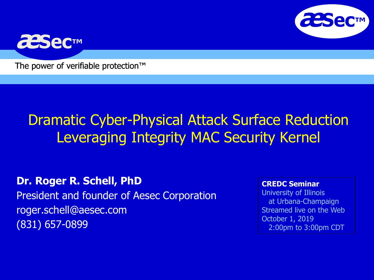



The power of verifiable protection<sup>™</sup>

#### Dramatic Cyber-Physical Attack Surface Reduction Leveraging Integrity MAC Security Kernel

**Dr. Roger R. Schell, PhD** President and founder of Aesec Corporation roger.schell@aesec.com (831) 657-0899

#### **CREDC Seminar**

University of Illinois at Urbana-Champaign Streamed live on the Web October 1, 2019 2:00pm to 3:00pm CDT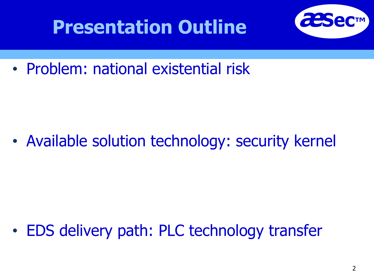

• Problem: national existential risk

• Available solution technology: security kernel

• EDS delivery path: PLC technology transfer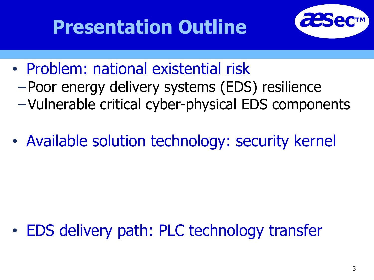

- Problem: national existential risk −Poor energy delivery systems (EDS) resilience −Vulnerable critical cyber-physical EDS components
- Available solution technology: security kernel

• EDS delivery path: PLC technology transfer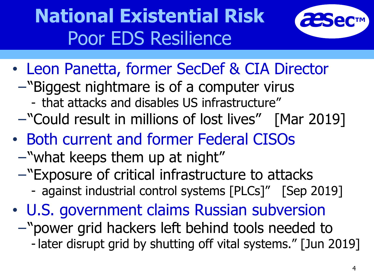# **National Existential Risk** Poor EDS Resilience



- Leon Panetta, former SecDef & CIA Director
	- −"Biggest nightmare is of a computer virus
		- that attacks and disables US infrastructure"
	- −"Could result in millions of lost lives" [Mar 2019]
- Both current and former Federal CISOs
	- −"what keeps them up at night"
	- −"Exposure of critical infrastructure to attacks
		- against industrial control systems [PLCs]" [Sep 2019]
- U.S. government claims Russian subversion −"power grid hackers left behind tools needed to
	- -later disrupt grid by shutting off vital systems." [Jun 2019]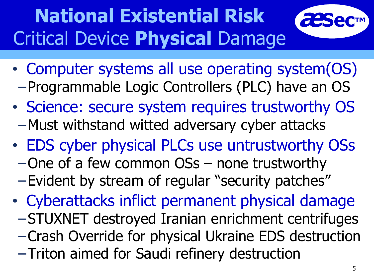# **National Existential Risk** Critical Device **Physical** Damage



- Computer systems all use operating system(OS) −Programmable Logic Controllers (PLC) have an OS
- Science: secure system requires trustworthy OS −Must withstand witted adversary cyber attacks
- EDS cyber physical PLCs use untrustworthy OSs
	- −One of a few common OSs none trustworthy
	- −Evident by stream of regular "security patches"
- Cyberattacks inflict permanent physical damage
	- −STUXNET destroyed Iranian enrichment centrifuges
	- −Crash Override for physical Ukraine EDS destruction
	- −Triton aimed for Saudi refinery destruction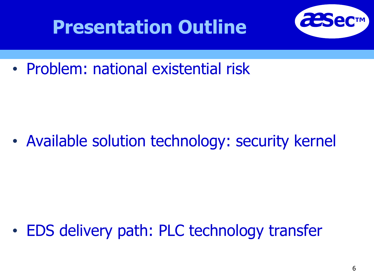

• Problem: national existential risk

• Available solution technology: security kernel

• EDS delivery path: PLC technology transfer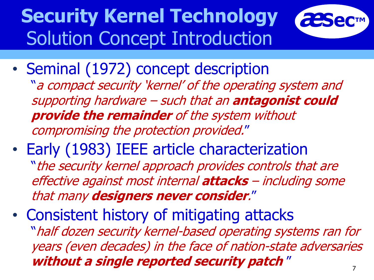# **Security Kernel Technology** Solution Concept Introduction



- Seminal (1972) concept description "a compact security 'kernel' of the operating system and supporting hardware – such that an **antagonist could provide the remainder** of the system without compromising the protection provided."
- Early (1983) IEEE article characterization "the security kernel approach provides controls that are effective against most internal **attacks** – including some that many **designers never consider**."
- Consistent history of mitigating attacks "half dozen security kernel-based operating systems ran for years (even decades) in the face of nation-state adversaries **without a single reported security patch** "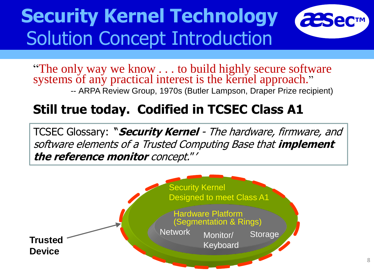## **Security Kernel Technology <sup>æ</sup>Sec™** Solution Concept Introduction



"The only way we know . . . to build highly secure software systems of any practical interest is the kernel approach." *--* ARPA Review Group, 1970s (Butler Lampson, Draper Prize recipient)

#### **Still true today. Codified in TCSEC Class A1**

TCSEC Glossary: '"**Security Kernel** - The hardware, firmware, and software elements of a Trusted Computing Base that **implement the reference monitor** concept."'

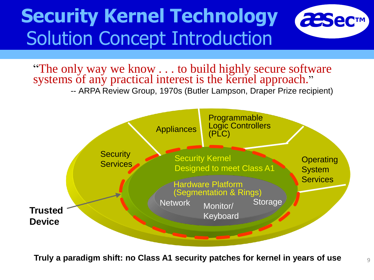### **Security Kernel Technology <sup>æ</sup>Sec™** Solution Concept Introduction



"The only way we know . . . to build highly secure software systems of any practical interest is the kernel approach." *--* ARPA Review Group, 1970s (Butler Lampson, Draper Prize recipient)



**Truly a paradigm shift: no Class A1 security patches for kernel in years of use**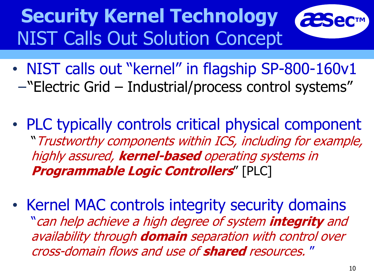## **Security Kernel Technology** NIST Calls Out Solution Concept

- NIST calls out "kernel" in flagship SP-800-160v1 −"Electric Grid – Industrial/process control systems"
- PLC typically controls critical physical component "Trustworthy components within ICS, including for example, highly assured, **kernel-based** operating systems in **Programmable Logic Controllers**" [PLC]
- Kernel MAC controls integrity security domains "can help achieve a high degree of system **integrity** and availability through **domain** separation with control over cross-domain flows and use of **shared** resources. "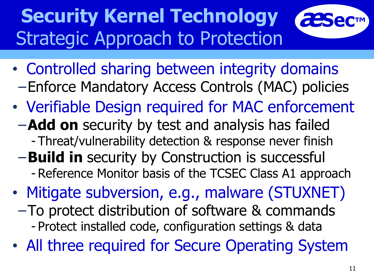# **Security Kernel Technology** Strategic Approach to Protection

- Controlled sharing between integrity domains −Enforce Mandatory Access Controls (MAC) policies
- Verifiable Design required for MAC enforcement
	- −**Add on** security by test and analysis has failed
		- Threat/vulnerability detection & response never finish
	- −**Build in** security by Construction is successful
		- Reference Monitor basis of the TCSEC Class A1 approach
- Mitigate subversion, e.g., malware (STUXNET)
- −To protect distribution of software & commands - Protect installed code, configuration settings & data
- All three required for Secure Operating System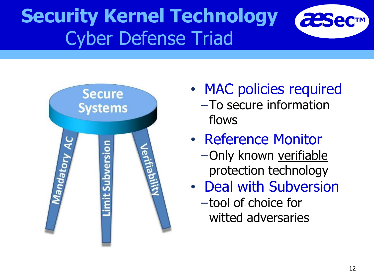#### **Security Kernel Technology** Cyber Defense Triad



- MAC policies required −To secure information flows
- Reference Monitor
	- −Only known verifiable protection technology
- Deal with Subversion
	- −tool of choice for witted adversaries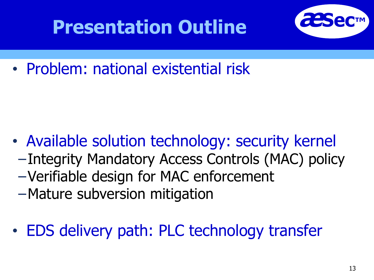

• Problem: national existential risk

- Available solution technology: security kernel −Integrity Mandatory Access Controls (MAC) policy −Verifiable design for MAC enforcement −Mature subversion mitigation
- EDS delivery path: PLC technology transfer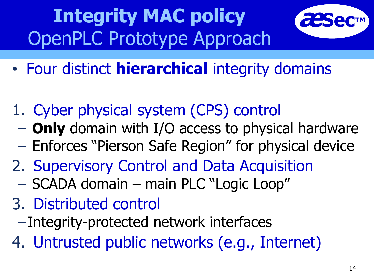# **Integrity MAC policy** OpenPLC Prototype Approach



- Four distinct **hierarchical** integrity domains
- 1. Cyber physical system (CPS) control
	- − **Only** domain with I/O access to physical hardware
	- − Enforces "Pierson Safe Region" for physical device
- 2. Supervisory Control and Data Acquisition
	- − SCADA domain main PLC "Logic Loop"
- 3. Distributed control
	- −Integrity-protected network interfaces
- 4. Untrusted public networks (e.g., Internet)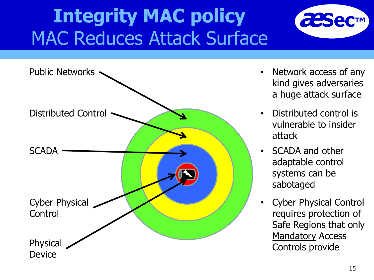## **Integrity MAC policy MAC Reduces Attack Surface**





- Network access of any kind gives adversaries a huge attack surface
- Distributed control is vulnerable to insider attack
- SCADA and other adaptable control systems can be sabotaged
- Cyber Physical Control requires protection of Safe Regions that only **Mandatory Access**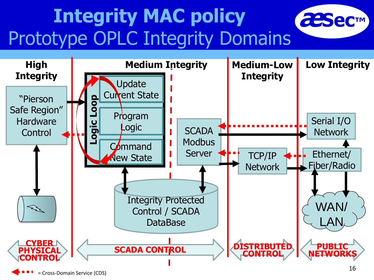# **Integrity MAC policy <sup>æ</sup>Sec™** Prototype OPLC Integrity Domains



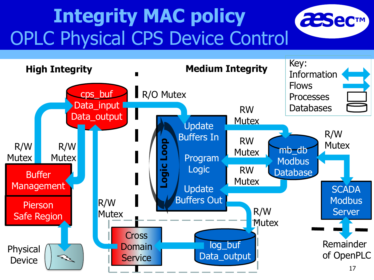# **Integrity MAC policy ●** *EESec***™** OPLC Physical CPS Device Control



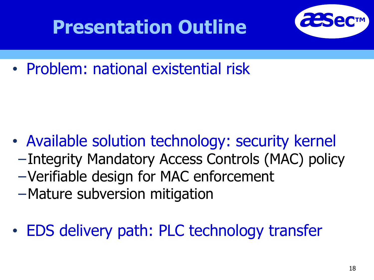

• Problem: national existential risk

- Available solution technology: security kernel −Integrity Mandatory Access Controls (MAC) policy −Verifiable design for MAC enforcement −Mature subversion mitigation
- EDS delivery path: PLC technology transfer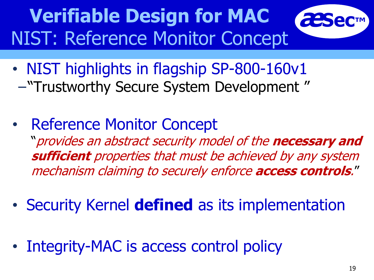**Werifiable Design for MAC** NIST: Reference Monitor Concept



- NIST highlights in flagship SP-800-160v1 −"Trustworthy Secure System Development "
- Reference Monitor Concept "provides an abstract security model of the **necessary and sufficient** properties that must be achieved by any system mechanism claiming to securely enforce **access controls**."
- Security Kernel **defined** as its implementation
- Integrity-MAC is access control policy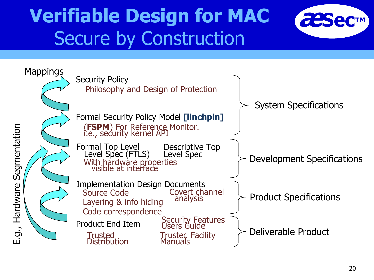#### **Verifiable Design for MAC** ● *æ***<br>Sec™** Secure by Construction



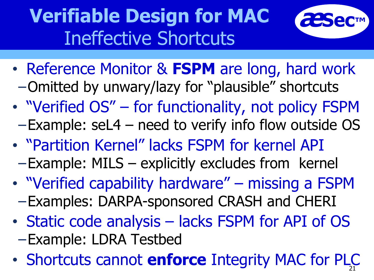## **Werifiable Design for MAC** Ineffective Shortcuts



- Reference Monitor & **FSPM** are long, hard work −Omitted by unwary/lazy for "plausible" shortcuts
- "Verified OS" for functionality, not policy FSPM −Example: seL4 – need to verify info flow outside OS
- "Partition Kernel" lacks FSPM for kernel API −Example: MILS – explicitly excludes from kernel
- "Verified capability hardware" missing a FSPM −Examples: DARPA-sponsored CRASH and CHERI
- Static code analysis lacks FSPM for API of OS −Example: LDRA Testbed
- Shortcuts cannot **enforce** Integrity MAC for PLC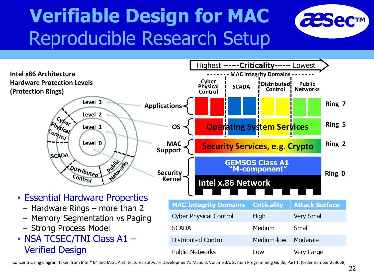## **Verifiable Design for MAC** ● *æ***sec™** Reproducible Research Setup





Concentric ring diagram taken from Intel® 64 and IA-32 Architectures Software Development's Manual, Volume 3A: System Programming Guide, Part 1, (order number 253668)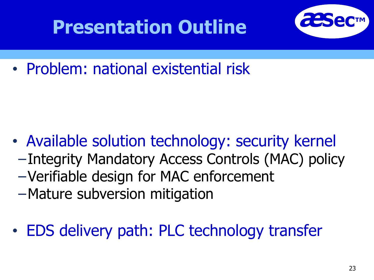

• Problem: national existential risk

- Available solution technology: security kernel −Integrity Mandatory Access Controls (MAC) policy −Verifiable design for MAC enforcement −Mature subversion mitigation
- EDS delivery path: PLC technology transfer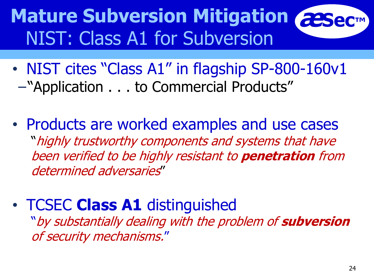#### **Mature Subversion Mitigation** NIST: Class A1 for Subversion

- NIST cites "Class A1" in flagship SP-800-160v1 −"Application . . . to Commercial Products"
- Products are worked examples and use cases "highly trustworthy components and systems that have been verified to be highly resistant to **penetration** from determined adversaries"
- TCSEC **Class A1** distinguished

"by substantially dealing with the problem of **subversion** of security mechanisms."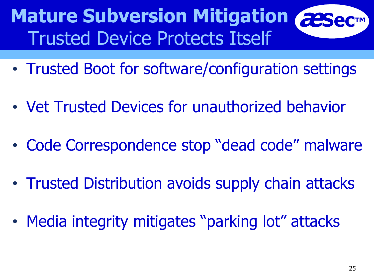#### **Mature Subversion Mitigation ●●●** Trusted Device Protects Itself

- Trusted Boot for software/configuration settings
- Vet Trusted Devices for unauthorized behavior
- Code Correspondence stop "dead code" malware
- Trusted Distribution avoids supply chain attacks
- Media integrity mitigates "parking lot" attacks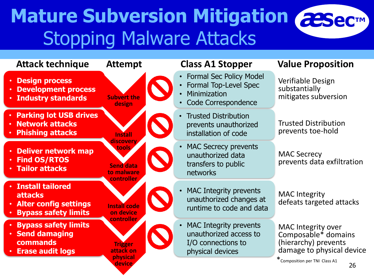#### **Mature Subversion Mitigation <sup>æ</sup>Sec™** Stopping Malware Attacks

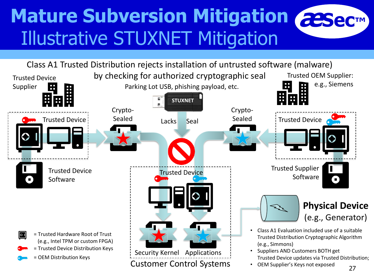## **Mature Subversion Mitigation <sup>æ</sup>Sec™** Illustrative STUXNET Mitigation

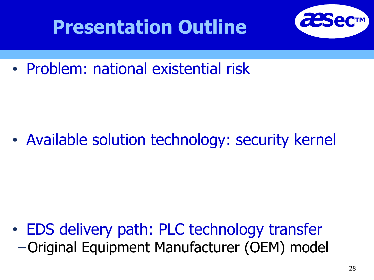

• Problem: national existential risk

• Available solution technology: security kernel

• EDS delivery path: PLC technology transfer −Original Equipment Manufacturer (OEM) model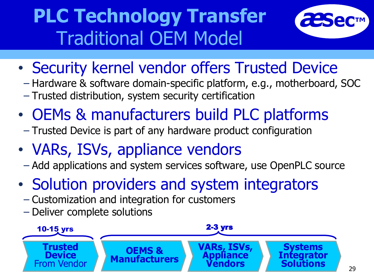## **PLC Technology Transfer** Traditional OEM Model



- Security kernel vendor offers Trusted Device
	- − Hardware & software domain-specific platform, e.g., motherboard, SOC
	- − Trusted distribution, system security certification
- OEMs & manufacturers build PLC platforms
	- − Trusted Device is part of any hardware product configuration
- VARs, ISVs, appliance vendors
	- − Add applications and system services software, use OpenPLC source
- Solution providers and system integrators
	- − Customization and integration for customers
	- − Deliver complete solutions

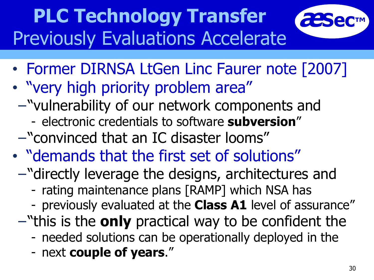# **PLC Technology Transfer** Previously Evaluations Accelerate



- "very high priority problem area"
	- −"vulnerability of our network components and
		- electronic credentials to software **subversion**"
	- −"convinced that an IC disaster looms"
- "demands that the first set of solutions"
	- −"directly leverage the designs, architectures and
		- rating maintenance plans [RAMP] which NSA has
		- previously evaluated at the **Class A1** level of assurance"
	- −"this is the **only** practical way to be confident the
		- needed solutions can be operationally deployed in the
		- next **couple of years**."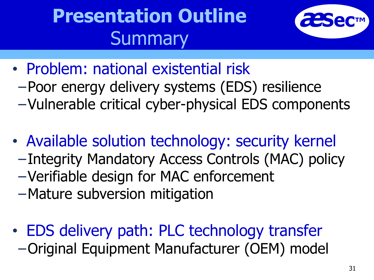# **Presentation Outline Summary**



- Problem: national existential risk
- −Poor energy delivery systems (EDS) resilience
- −Vulnerable critical cyber-physical EDS components
- Available solution technology: security kernel −Integrity Mandatory Access Controls (MAC) policy −Verifiable design for MAC enforcement
	- −Mature subversion mitigation
- EDS delivery path: PLC technology transfer −Original Equipment Manufacturer (OEM) model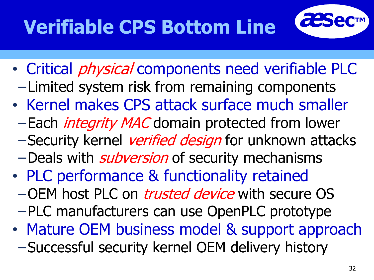# **Verifiable CPS Bottom Line**



- Critical *physical* components need verifiable PLC −Limited system risk from remaining components
- Kernel makes CPS attack surface much smaller
	- −Each *integrity MAC* domain protected from lower
	- −Security kernel verified design for unknown attacks
	- −Deals with *subversion* of security mechanisms
- PLC performance & functionality retained
	- −OEM host PLC on *trusted device* with secure OS −PLC manufacturers can use OpenPLC prototype
- Mature OEM business model & support approach −Successful security kernel OEM delivery history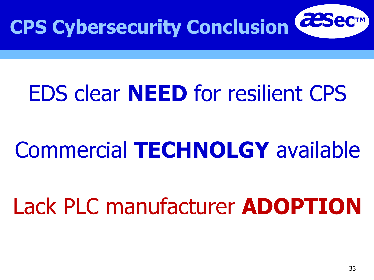

# EDS clear **NEED** for resilient CPS

# Commercial **TECHNOLGY** available

# Lack PLC manufacturer **ADOPTION**